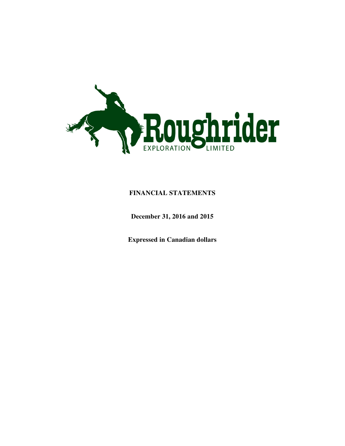

### **FINANCIAL STATEMENTS**

**December 31, 2016 and 2015** 

**Expressed in Canadian dollars**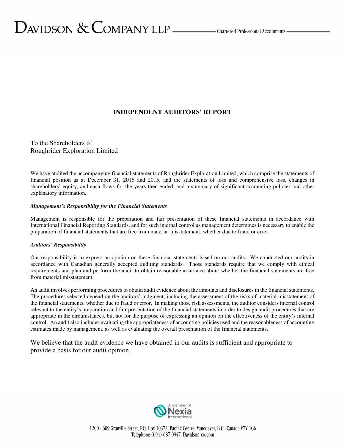# $D$ AVIDSON  $\&$  COMPANY LLP  $\_\_\_\_\$ Chartered Professional Accountants

### **INDEPENDENT AUDITORS' REPORT**

To the Shareholders of Roughrider Exploration Limited

We have audited the accompanying financial statements of Roughrider Exploration Limited, which comprise the statements of financial position as at December 31, 2016 and 2015, and the statements of loss and comprehensive loss, changes in shareholders' equity, and cash flows for the years then ended, and a summary of significant accounting policies and other explanatory information.

#### *Management's Responsibility for the Financial Statements*

Management is responsible for the preparation and fair presentation of these financial statements in accordance with International Financial Reporting Standards, and for such internal control as management determines is necessary to enable the preparation of financial statements that are free from material misstatement, whether due to fraud or error.

#### *Auditors' Responsibility*

Our responsibility is to express an opinion on these financial statements based on our audits. We conducted our audits in accordance with Canadian generally accepted auditing standards. Those standards require that we comply with ethical requirements and plan and perform the audit to obtain reasonable assurance about whether the financial statements are free from material misstatement.

An audit involves performing procedures to obtain audit evidence about the amounts and disclosures in the financial statements. The procedures selected depend on the auditors' judgment, including the assessment of the risks of material misstatement of the financial statements, whether due to fraud or error. In making those risk assessments, the auditor considers internal control relevant to the entity's preparation and fair presentation of the financial statements in order to design audit procedures that are appropriate in the circumstances, but not for the purpose of expressing an opinion on the effectiveness of the entity's internal control. An audit also includes evaluating the appropriateness of accounting policies used and the reasonableness of accounting estimates made by management, as well as evaluating the overall presentation of the financial statements.

We believe that the audit evidence we have obtained in our audits is sufficient and appropriate to provide a basis for our audit opinion.

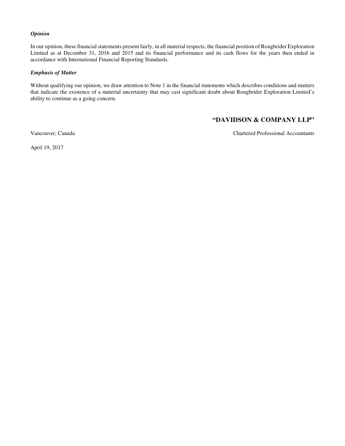#### *Opinion*

In our opinion, these financial statements present fairly, in all material respects, the financial position of Roughrider Exploration Limited as at December 31, 2016 and 2015 and its financial performance and its cash flows for the years then ended in accordance with International Financial Reporting Standards.

#### *Emphasis of Matter*

Without qualifying our opinion, we draw attention to Note 1 in the financial statements which describes conditions and matters that indicate the existence of a material uncertainty that may cast significant doubt about Roughrider Exploration Limited's ability to continue as a going concern.

### **"DAVIDSON & COMPANY LLP"**

Vancouver, Canada Chartered Professional Accountants

April 19, 2017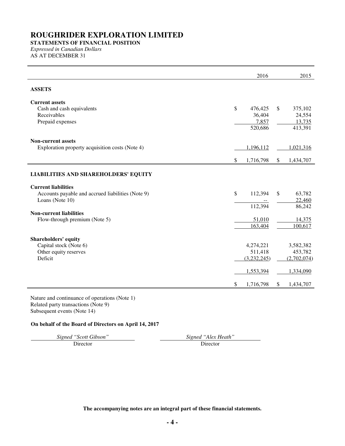#### **STATEMENTS OF FINANCIAL POSITION**  *Expressed in Canadian Dollars*

AS AT DECEMBER 31

|                                                                                                    | 2016                                             |               | 2015                                             |
|----------------------------------------------------------------------------------------------------|--------------------------------------------------|---------------|--------------------------------------------------|
| <b>ASSETS</b>                                                                                      |                                                  |               |                                                  |
| <b>Current assets</b><br>Cash and cash equivalents<br>Receivables<br>Prepaid expenses              | \$<br>476,425<br>36,404<br>7,857<br>520,686      | <sup>\$</sup> | 375,102<br>24,554<br>13,735<br>413,391           |
| <b>Non-current assets</b><br>Exploration property acquisition costs (Note 4)                       | 1,196,112                                        |               | 1,021,316                                        |
|                                                                                                    | \$<br>1,716,798                                  | <sup>\$</sup> | 1,434,707                                        |
| <b>LIABILITIES AND SHAREHOLDERS' EQUITY</b>                                                        |                                                  |               |                                                  |
| <b>Current liabilities</b><br>Accounts payable and accrued liabilities (Note 9)<br>Loans (Note 10) | \$<br>112,394<br>112,394                         | $\mathbb{S}$  | 63,782<br>22,460<br>86,242                       |
| <b>Non-current liabilities</b><br>Flow-through premium (Note 5)                                    | 51,010<br>163,404                                |               | 14,375<br>100,617                                |
| <b>Shareholders' equity</b><br>Capital stock (Note 6)<br>Other equity reserves<br>Deficit          | 4,274,221<br>511,418<br>(3,232,245)<br>1,553,394 |               | 3,582,382<br>453,782<br>(2,702,074)<br>1,334,090 |
|                                                                                                    | \$<br>1,716,798                                  | \$            | 1,434,707                                        |

Nature and continuance of operations (Note 1) Related party transactions (Note 9) Subsequent events (Note 14)

#### **On behalf of the Board of Directors on April 14, 2017**

*Signed "Scott Gibson" Signed "Alex Heath" Signed "Alex Heath" Director Director* 

Director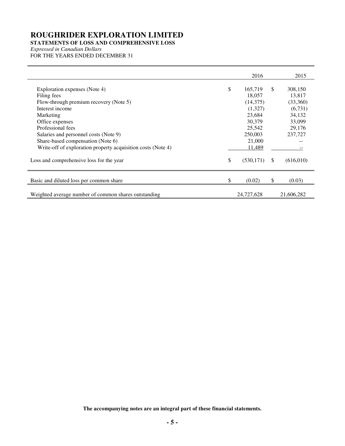### **STATEMENTS OF LOSS AND COMPREHENSIVE LOSS**

*Expressed in Canadian Dollars*  FOR THE YEARS ENDED DECEMBER 31

|                                                                                                               | 2016                                             |               | 2015                                             |
|---------------------------------------------------------------------------------------------------------------|--------------------------------------------------|---------------|--------------------------------------------------|
| Exploration expenses (Note 4)<br>Filing fees<br>Flow-through premium recovery (Note 5)                        | \$<br>165,719<br>18,057<br>(14,375)              | S.            | 308,150<br>13,817<br>(33,360)                    |
| Interest income<br>Marketing<br>Office expenses<br>Professional fees<br>Salaries and personnel costs (Note 9) | (1,327)<br>23,684<br>30,379<br>25,542<br>250,003 |               | (6,731)<br>34,132<br>33,099<br>29,176<br>237,727 |
| Share-based compensation (Note 6)<br>Write-off of exploration property acquisition costs (Note 4)             | 21,000<br>11,489                                 |               |                                                  |
| Loss and comprehensive loss for the year                                                                      | \$<br>(530, 171)                                 | $\mathcal{S}$ | (616,010)                                        |
| Basic and diluted loss per common share                                                                       | \$<br>(0.02)                                     | \$            | (0.03)                                           |
| Weighted average number of common shares outstanding                                                          | 24,727,628                                       |               | 21,606,282                                       |

**The accompanying notes are an integral part of these financial statements.**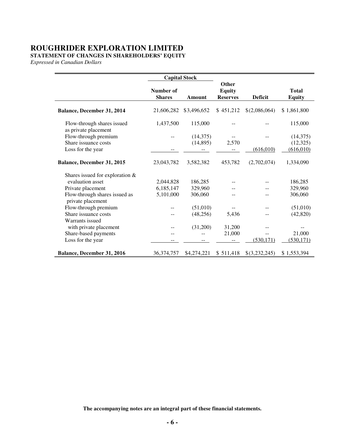### **STATEMENT OF CHANGES IN SHAREHOLDERS' EQUITY**

*Expressed in Canadian Dollars* 

|                                                    | Number of<br><b>Shares</b> | Amount      | Other<br><b>Equity</b><br><b>Reserves</b> | <b>Deficit</b> | <b>Total</b><br><b>Equity</b> |
|----------------------------------------------------|----------------------------|-------------|-------------------------------------------|----------------|-------------------------------|
| Balance, December 31, 2014                         | 21,606,282                 | \$3,496,652 | \$451,212                                 | \$(2,086,064)  | \$1,861,800                   |
| Flow-through shares issued<br>as private placement | 1,437,500                  | 115,000     |                                           |                | 115,000                       |
| Flow-through premium                               |                            | (14, 375)   |                                           |                | (14, 375)                     |
| Share issuance costs                               |                            | (14, 895)   | 2,570                                     |                | (12, 325)                     |
| Loss for the year                                  |                            |             |                                           | (616, 010)     | (616, 010)                    |
| Balance, December 31, 2015                         | 23,043,782                 | 3,582,382   | 453,782                                   | (2,702,074)    | 1,334,090                     |
| Shares issued for exploration $&$                  |                            |             |                                           |                |                               |
| evaluation asset                                   | 2,044,828                  | 186,285     |                                           |                | 186,285                       |
| Private placement                                  | 6,185,147                  | 329,960     |                                           |                | 329,960                       |
| Flow-through shares issued as                      | 5,101,000                  | 306,060     |                                           |                | 306,060                       |
| private placement                                  |                            |             |                                           |                |                               |
| Flow-through premium                               |                            | (51,010)    |                                           |                | (51,010)                      |
| Share issuance costs                               | --                         | (48, 256)   | 5,436                                     |                | (42, 820)                     |
| Warrants issued                                    |                            |             |                                           |                |                               |
| with private placement                             | --                         | (31,200)    | 31,200                                    |                |                               |
| Share-based payments                               |                            |             | 21,000                                    |                | 21,000                        |
| Loss for the year                                  |                            |             |                                           | (530, 171)     | (530, 171)                    |
| Balance, December 31, 2016                         | 36, 374, 757               | \$4,274,221 | \$511,418                                 | \$(3,232,245)  | \$1,553,394                   |

**The accompanying notes are an integral part of these financial statements.**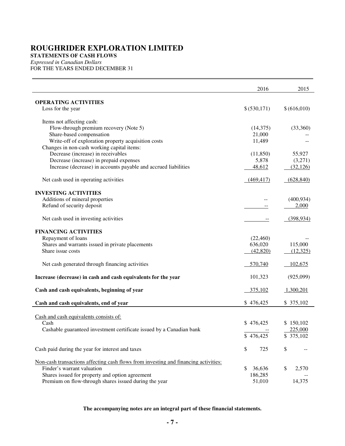**STATEMENTS OF CASH FLOWS** 

*Expressed in Canadian Dollars*  FOR THE YEARS ENDED DECEMBER 31

|                                                                                     | 2016         | 2015                 |
|-------------------------------------------------------------------------------------|--------------|----------------------|
| <b>OPERATING ACTIVITIES</b>                                                         |              |                      |
| Loss for the year                                                                   | \$ (530,171) | \$(616,010)          |
|                                                                                     |              |                      |
| Items not affecting cash:                                                           |              |                      |
| Flow-through premium recovery (Note 5)                                              | (14, 375)    | (33,360)             |
| Share-based compensation                                                            | 21,000       |                      |
| Write-off of exploration property acquisition costs                                 | 11,489       |                      |
| Changes in non-cash working capital items:                                          |              |                      |
| Decrease (increase) in receivables                                                  | (11,850)     | 55,927               |
| Decrease (increase) in prepaid expenses                                             | 5,878        | (3,271)              |
| Increase (decrease) in accounts payable and accrued liabilities                     | 48,612       | (32, 126)            |
| Net cash used in operating activities                                               | (469, 417)   | (628, 840)           |
| <b>INVESTING ACTIVITIES</b>                                                         |              |                      |
| Additions of mineral properties                                                     |              | (400, 934)           |
| Refund of security deposit                                                          |              | 2,000                |
| Net cash used in investing activities                                               |              | (398, 934)           |
| <b>FINANCING ACTIVITIES</b>                                                         |              |                      |
| Repayment of loans                                                                  | (22, 460)    |                      |
| Shares and warrants issued in private placements                                    | 636,020      | 115,000              |
| Share issue costs                                                                   | (42, 820)    | (12, 325)            |
| Net cash generated through financing activities                                     | 570,740      | 102,675              |
| Increase (decrease) in cash and cash equivalents for the year                       | 101,323      | (925,099)            |
| Cash and cash equivalents, beginning of year                                        | 375,102      | 1,300,201            |
| Cash and cash equivalents, end of year                                              | \$476,425    | \$375,102            |
|                                                                                     |              |                      |
| Cash and cash equivalents consists of:                                              |              |                      |
| Cash                                                                                | \$476,425    | \$150,102            |
| Cashable guaranteed investment certificate issued by a Canadian bank                | \$476,425    | 225,000<br>\$375,102 |
|                                                                                     |              |                      |
| Cash paid during the year for interest and taxes                                    | \$<br>725    | \$                   |
| Non-cash transactions affecting cash flows from investing and financing activities: |              |                      |
| Finder's warrant valuation                                                          | \$<br>36,636 | \$<br>2,570          |
| Shares issued for property and option agreement                                     | 186,285      |                      |
| Premium on flow-through shares issued during the year                               | 51,010       | 14,375               |

**The accompanying notes are an integral part of these financial statements.**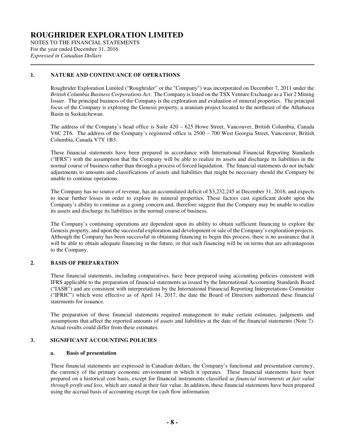NOTES TO THE FINANCIAL STATEMENTS For the year ended December 31, 2016 *Expressed in Canadian Dollars* 

 $\overline{a}$ 

#### **1. NATURE AND CONTINUANCE OF OPERATIONS**

Roughrider Exploration Limited ("Roughrider" or the "Company") was incorporated on December 7, 2011 under the *British Columbia Business Corporations Act*. The Company is listed on the TSX Venture Exchange as a Tier 2 Mining Issuer. The principal business of the Company is the exploration and evaluation of mineral properties. The principal focus of the Company is exploring the Genesis property, a uranium project located to the northeast of the Athabasca Basin in Saskatchewan.

The address of the Company's head office is Suite 420 – 625 Howe Street, Vancouver, British Columbia, Canada V6C 2T6. The address of the Company's registered office is 2500 – 700 West Georgia Street, Vancouver, British Columbia, Canada V7Y 1B3.

 These financial statements have been prepared in accordance with International Financial Reporting Standards ("IFRS") with the assumption that the Company will be able to realize its assets and discharge its liabilities in the normal course of business rather than through a process of forced liquidation. The financial statements do not include adjustments to amounts and classifications of assets and liabilities that might be necessary should the Company be unable to continue operations.

 The Company has no source of revenue, has an accumulated deficit of \$3,232,245 at December 31, 2016, and expects to incur further losses in order to explore its mineral properties. These factors cast significant doubt upon the Company's ability to continue as a going concern and, therefore suggest that the Company may be unable to realize its assets and discharge its liabilities in the normal course of business.

 The Company's continuing operations are dependent upon its ability to obtain sufficient financing to explore the Genesis property, and upon the successful exploration and development or sale of the Company's exploration projects. Although the Company has been successful in obtaining financing to begin this process, there is no assurance that it will be able to obtain adequate financing in the future, or that such financing will be on terms that are advantageous to the Company.

#### **2. BASIS OF PREPARATION**

These financial statements, including comparatives, have been prepared using accounting policies consistent with IFRS applicable to the preparation of financial statements as issued by the International Accounting Standards Board ("IASB") and are consistent with interpretations by the International Financial Reporting Interpretations Committee ("IFRIC") which were effective as of April 14, 2017, the date the Board of Directors authorized these financial statements for issuance.

The preparation of these financial statements required management to make certain estimates, judgments and assumptions that affect the reported amounts of assets and liabilities at the date of the financial statements (Note 7). Actual results could differ from these estimates.

#### **3. SIGNIFICANT ACCOUNTING POLICIES**

#### **a. Basis of presentation**

These financial statements are expressed in Canadian dollars, the Company's functional and presentation currency, the currency of the primary economic environment in which it operates. These financial statements have been prepared on a historical cost basis, except for financial instruments classified as *financial instruments at fair value through profit and loss*, which are stated at their fair value. In addition, these financial statements have been prepared using the accrual basis of accounting except for cash flow information.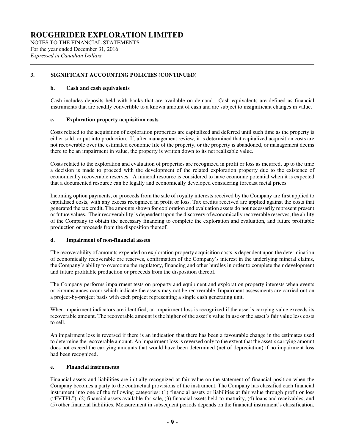NOTES TO THE FINANCIAL STATEMENTS For the year ended December 31, 2016 *Expressed in Canadian Dollars* 

 $\overline{a}$ 

#### **3. SIGNIFICANT ACCOUNTING POLICIES (CONTINUED)**

#### **b. Cash and cash equivalents**

Cash includes deposits held with banks that are available on demand. Cash equivalents are defined as financial instruments that are readily convertible to a known amount of cash and are subject to insignificant changes in value.

#### **c. Exploration property acquisition costs**

Costs related to the acquisition of exploration properties are capitalized and deferred until such time as the property is either sold, or put into production. If, after management review, it is determined that capitalized acquisition costs are not recoverable over the estimated economic life of the property, or the property is abandoned, or management deems there to be an impairment in value, the property is written down to its net realizable value.

Costs related to the exploration and evaluation of properties are recognized in profit or loss as incurred, up to the time a decision is made to proceed with the development of the related exploration property due to the existence of economically recoverable reserves. A mineral resource is considered to have economic potential when it is expected that a documented resource can be legally and economically developed considering forecast metal prices.

Incoming option payments, or proceeds from the sale of royalty interests received by the Company are first applied to capitalised costs, with any excess recognized in profit or loss. Tax credits received are applied against the costs that generated the tax credit. The amounts shown for exploration and evaluation assets do not necessarily represent present or future values. Their recoverability is dependent upon the discovery of economically recoverable reserves, the ability of the Company to obtain the necessary financing to complete the exploration and evaluation, and future profitable production or proceeds from the disposition thereof.

#### **d. Impairment of non-financial assets**

The recoverability of amounts expended on exploration property acquisition costs is dependent upon the determination of economically recoverable ore reserves, confirmation of the Company's interest in the underlying mineral claims, the Company's ability to overcome the regulatory, financing and other hurdles in order to complete their development and future profitable production or proceeds from the disposition thereof.

The Company performs impairment tests on property and equipment and exploration property interests when events or circumstances occur which indicate the assets may not be recoverable. Impairment assessments are carried out on a project-by-project basis with each project representing a single cash generating unit.

When impairment indicators are identified, an impairment loss is recognized if the asset's carrying value exceeds its recoverable amount. The recoverable amount is the higher of the asset's value in use or the asset's fair value less costs to sell.

An impairment loss is reversed if there is an indication that there has been a favourable change in the estimates used to determine the recoverable amount. An impairment loss is reversed only to the extent that the asset's carrying amount does not exceed the carrying amounts that would have been determined (net of depreciation) if no impairment loss had been recognized.

#### **e. Financial instruments**

Financial assets and liabilities are initially recognized at fair value on the statement of financial position when the Company becomes a party to the contractual provisions of the instrument. The Company has classified each financial instrument into one of the following categories: (1) financial assets or liabilities at fair value through profit or loss ("FVTPL"), (2) financial assets available-for-sale, (3) financial assets held-to-maturity, (4) loans and receivables, and (5) other financial liabilities. Measurement in subsequent periods depends on the financial instrument's classification.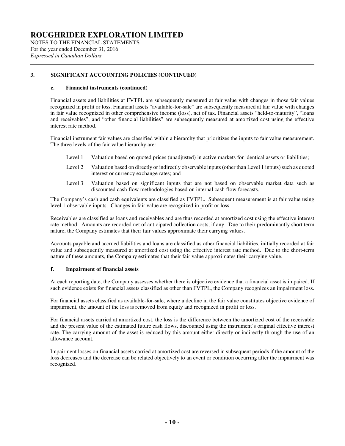NOTES TO THE FINANCIAL STATEMENTS For the year ended December 31, 2016 *Expressed in Canadian Dollars* 

 $\overline{a}$ 

#### **3. SIGNIFICANT ACCOUNTING POLICIES (CONTINUED)**

#### **e. Financial instruments (continued)**

Financial assets and liabilities at FVTPL are subsequently measured at fair value with changes in those fair values recognized in profit or loss. Financial assets "available-for-sale" are subsequently measured at fair value with changes in fair value recognized in other comprehensive income (loss), net of tax. Financial assets "held-to-maturity", "loans and receivables", and "other financial liabilities" are subsequently measured at amortized cost using the effective interest rate method.

Financial instrument fair values are classified within a hierarchy that prioritizes the inputs to fair value measurement. The three levels of the fair value hierarchy are:

- Level 1 Valuation based on quoted prices (unadjusted) in active markets for identical assets or liabilities;
- Level 2 Valuation based on directly or indirectly observable inputs (other than Level 1 inputs) such as quoted interest or currency exchange rates; and
- Level 3 Valuation based on significant inputs that are not based on observable market data such as discounted cash flow methodologies based on internal cash flow forecasts.

The Company's cash and cash equivalents are classified as FVTPL. Subsequent measurement is at fair value using level 1 observable inputs. Changes in fair value are recognized in profit or loss.

Receivables are classified as loans and receivables and are thus recorded at amortized cost using the effective interest rate method. Amounts are recorded net of anticipated collection costs, if any. Due to their predominantly short term nature, the Company estimates that their fair values approximate their carrying values.

Accounts payable and accrued liabilities and loans are classified as other financial liabilities, initially recorded at fair value and subsequently measured at amortized cost using the effective interest rate method. Due to the short-term nature of these amounts, the Company estimates that their fair value approximates their carrying value.

#### **f. Impairment of financial assets**

At each reporting date, the Company assesses whether there is objective evidence that a financial asset is impaired. If such evidence exists for financial assets classified as other than FVTPL, the Company recognizes an impairment loss.

For financial assets classified as available-for-sale, where a decline in the fair value constitutes objective evidence of impairment, the amount of the loss is removed from equity and recognized in profit or loss.

For financial assets carried at amortized cost, the loss is the difference between the amortized cost of the receivable and the present value of the estimated future cash flows, discounted using the instrument's original effective interest rate. The carrying amount of the asset is reduced by this amount either directly or indirectly through the use of an allowance account.

Impairment losses on financial assets carried at amortized cost are reversed in subsequent periods if the amount of the loss decreases and the decrease can be related objectively to an event or condition occurring after the impairment was recognized.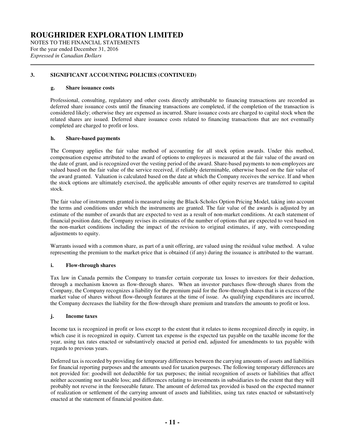NOTES TO THE FINANCIAL STATEMENTS For the year ended December 31, 2016 *Expressed in Canadian Dollars* 

 $\overline{a}$ 

#### **3. SIGNIFICANT ACCOUNTING POLICIES (CONTINUED)**

#### **g. Share issuance costs**

Professional, consulting, regulatory and other costs directly attributable to financing transactions are recorded as deferred share issuance costs until the financing transactions are completed, if the completion of the transaction is considered likely; otherwise they are expensed as incurred. Share issuance costs are charged to capital stock when the related shares are issued. Deferred share issuance costs related to financing transactions that are not eventually completed are charged to profit or loss.

#### **h. Share-based payments**

The Company applies the fair value method of accounting for all stock option awards. Under this method, compensation expense attributed to the award of options to employees is measured at the fair value of the award on the date of grant, and is recognized over the vesting period of the award. Share-based payments to non-employees are valued based on the fair value of the service received, if reliably determinable, otherwise based on the fair value of the award granted. Valuation is calculated based on the date at which the Company receives the service. If and when the stock options are ultimately exercised, the applicable amounts of other equity reserves are transferred to capital stock.

The fair value of instruments granted is measured using the Black-Scholes Option Pricing Model, taking into account the terms and conditions under which the instruments are granted. The fair value of the awards is adjusted by an estimate of the number of awards that are expected to vest as a result of non-market conditions. At each statement of financial position date, the Company revises its estimates of the number of options that are expected to vest based on the non-market conditions including the impact of the revision to original estimates, if any, with corresponding adjustments to equity.

Warrants issued with a common share, as part of a unit offering, are valued using the residual value method. A value representing the premium to the market-price that is obtained (if any) during the issuance is attributed to the warrant.

#### **i. Flow-through shares**

Tax law in Canada permits the Company to transfer certain corporate tax losses to investors for their deduction, through a mechanism known as flow-through shares. When an investor purchases flow-through shares from the Company, the Company recognizes a liability for the premium paid for the flow-through shares that is in excess of the market value of shares without flow-through features at the time of issue. As qualifying expenditures are incurred, the Company decreases the liability for the flow-through share premium and transfers the amounts to profit or loss.

#### **j. Income taxes**

Income tax is recognized in profit or loss except to the extent that it relates to items recognized directly in equity, in which case it is recognized in equity. Current tax expense is the expected tax payable on the taxable income for the year, using tax rates enacted or substantively enacted at period end, adjusted for amendments to tax payable with regards to previous years.

Deferred tax is recorded by providing for temporary differences between the carrying amounts of assets and liabilities for financial reporting purposes and the amounts used for taxation purposes. The following temporary differences are not provided for: goodwill not deductible for tax purposes; the initial recognition of assets or liabilities that affect neither accounting nor taxable loss; and differences relating to investments in subsidiaries to the extent that they will probably not reverse in the foreseeable future. The amount of deferred tax provided is based on the expected manner of realization or settlement of the carrying amount of assets and liabilities, using tax rates enacted or substantively enacted at the statement of financial position date.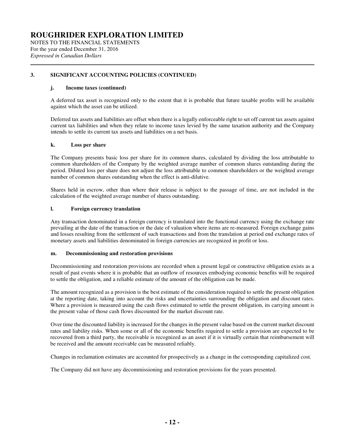NOTES TO THE FINANCIAL STATEMENTS For the year ended December 31, 2016 *Expressed in Canadian Dollars* 

 $\overline{a}$ 

#### **3. SIGNIFICANT ACCOUNTING POLICIES (CONTINUED)**

#### **j. Income taxes (continued)**

A deferred tax asset is recognized only to the extent that it is probable that future taxable profits will be available against which the asset can be utilized.

Deferred tax assets and liabilities are offset when there is a legally enforceable right to set off current tax assets against current tax liabilities and when they relate to income taxes levied by the same taxation authority and the Company intends to settle its current tax assets and liabilities on a net basis.

#### **k. Loss per share**

 The Company presents basic loss per share for its common shares, calculated by dividing the loss attributable to common shareholders of the Company by the weighted average number of common shares outstanding during the period. Diluted loss per share does not adjust the loss attributable to common shareholders or the weighted average number of common shares outstanding when the effect is anti-dilutive.

 Shares held in escrow, other than where their release is subject to the passage of time, are not included in the calculation of the weighted average number of shares outstanding.

#### **l. Foreign currency translation**

 Any transaction denominated in a foreign currency is translated into the functional currency using the exchange rate prevailing at the date of the transaction or the date of valuation where items are re-measured. Foreign exchange gains and losses resulting from the settlement of such transactions and from the translation at period end exchange rates of monetary assets and liabilities denominated in foreign currencies are recognized in profit or loss.

#### **m. Decommissioning and restoration provisions**

Decommissioning and restoration provisions are recorded when a present legal or constructive obligation exists as a result of past events where it is probable that an outflow of resources embodying economic benefits will be required to settle the obligation, and a reliable estimate of the amount of the obligation can be made.

The amount recognized as a provision is the best estimate of the consideration required to settle the present obligation at the reporting date, taking into account the risks and uncertainties surrounding the obligation and discount rates. Where a provision is measured using the cash flows estimated to settle the present obligation, its carrying amount is the present value of those cash flows discounted for the market discount rate.

Over time the discounted liability is increased for the changes in the present value based on the current market discount rates and liability risks. When some or all of the economic benefits required to settle a provision are expected to be recovered from a third party, the receivable is recognized as an asset if it is virtually certain that reimbursement will be received and the amount receivable can be measured reliably.

Changes in reclamation estimates are accounted for prospectively as a change in the corresponding capitalized cost.

The Company did not have any decommissioning and restoration provisions for the years presented.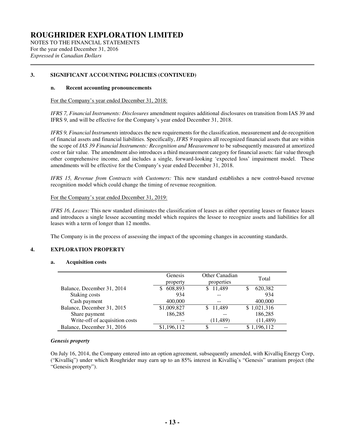NOTES TO THE FINANCIAL STATEMENTS For the year ended December 31, 2016 *Expressed in Canadian Dollars* 

 $\overline{a}$ 

#### **3. SIGNIFICANT ACCOUNTING POLICIES (CONTINUED)**

#### **n. Recent accounting pronouncements**

For the Company's year ended December 31, 2018:

 *IFRS 7, Financial Instruments: Disclosures* amendment requires additional disclosures on transition from IAS 39 and IFRS 9, and will be effective for the Company's year ended December 31, 2018.

*IFRS 9, Financial Instruments* introduces the new requirements for the classification, measurement and de-recognition of financial assets and financial liabilities. Specifically, *IFRS 9* requires all recognized financial assets that are within the scope of *IAS 39 Financial Instruments: Recognition and Measurement* to be subsequently measured at amortized cost or fair value. The amendment also introduces a third measurement category for financial assets: fair value through other comprehensive income, and includes a single, forward-looking 'expected loss' impairment model. These amendments will be effective for the Company's year ended December 31, 2018.

 *IFRS 15, Revenue from Contracts with Customers:* This new standard establishes a new control-based revenue recognition model which could change the timing of revenue recognition.

For the Company's year ended December 31, 2019:

 *IFRS 16, Leases:* This new standard eliminates the classification of leases as either operating leases or finance leases and introduces a single lessee accounting model which requires the lessee to recognize assets and liabilities for all leases with a term of longer than 12 months.

The Company is in the process of assessing the impact of the upcoming changes in accounting standards.

#### **4. EXPLORATION PROPERTY**

#### **a. Acquisition costs**

|                                | Genesis<br>property | Other Canadian<br>properties | Total       |
|--------------------------------|---------------------|------------------------------|-------------|
| Balance, December 31, 2014     | 608,893             | \$11,489                     | 620,382     |
| Staking costs                  | 934                 |                              | 934         |
| Cash payment                   | 400,000             | --                           | 400,000     |
| Balance, December 31, 2015     | \$1,009,827         | \$11,489                     | \$1,021,316 |
| Share payment                  | 186,285             |                              | 186,285     |
| Write-off of acquisition costs |                     | (11, 489)                    | (11, 489)   |
| Balance, December 31, 2016     | \$1,196,112         | S.                           | \$1,196,112 |

#### *Genesis property*

On July 16, 2014, the Company entered into an option agreement, subsequently amended, with Kivalliq Energy Corp, ("Kivalliq") under which Roughrider may earn up to an 85% interest in Kivalliq's "Genesis" uranium project (the "Genesis property").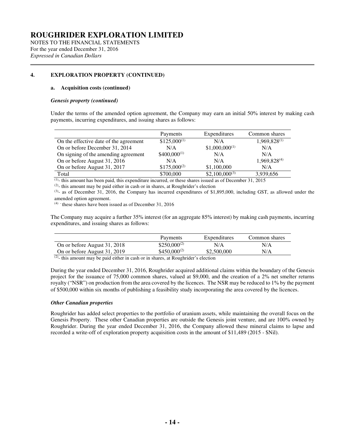NOTES TO THE FINANCIAL STATEMENTS For the year ended December 31, 2016 *Expressed in Canadian Dollars* 

 $\overline{a}$ 

#### **4. EXPLORATION PROPERTY (CONTINUED)**

#### **a. Acquisition costs (continued)**

#### *Genesis property (continued)*

Under the terms of the amended option agreement, the Company may earn an initial 50% interest by making cash payments, incurring expenditures, and issuing shares as follows:

|                                        | Payments         | Expenditures       | Common shares     |
|----------------------------------------|------------------|--------------------|-------------------|
| On the effective date of the agreement | $$125,000^{(1)}$ | N/A                | 1,969,828(1)      |
| On or before December 31, 2014         | N/A              | $$1,000,000^{(1)}$ | N/A               |
| On signing of the amending agreement   | $$400,000^{(1)}$ | N/A                | N/A               |
| On or before August 31, 2016           | N/A              | N/A                | $1,969,828^{(4)}$ |
| On or before August 31, 2017           | $$175,000^{(2)}$ | \$1,100,000        | N/A               |
| Total                                  | \$700,000        | $$2,100,000^{(3)}$ | 3,939,656         |

 $\overline{p}$ - this amount has been paid, this expenditure incurred, or these shares issued as of December 31, 2015

 $(2)$ - this amount may be paid either in cash or in shares, at Roughrider's election

 $(3)$ - as of December 31, 2016, the Company has incurred expenditures of \$1,895,000, including GST, as allowed under the amended option agreement.

 $(4)$  - these shares have been issued as of December 31, 2016

The Company may acquire a further 35% interest (for an aggregate 85% interest) by making cash payments, incurring expenditures, and issuing shares as follows:

|                              | Payments         | Expenditures | Common shares |
|------------------------------|------------------|--------------|---------------|
| On or before August 31, 2018 | $$250,000^{(2)}$ | N/A          | N/A           |
| On or before August 31, 2019 | $$450,000^{(2)}$ | \$2,500,000  | N/A           |

 $\overline{^{(2)}}$ - this amount may be paid either in cash or in shares, at Roughrider's election

During the year ended December 31, 2016, Roughrider acquired additional claims within the boundary of the Genesis project for the issuance of 75,000 common shares, valued at \$9,000, and the creation of a 2% net smelter returns royalty ("NSR") on production from the area covered by the licences. The NSR may be reduced to 1% by the payment of \$500,000 within six months of publishing a feasibility study incorporating the area covered by the licences.

#### *Other Canadian properties*

Roughrider has added select properties to the portfolio of uranium assets, while maintaining the overall focus on the Genesis Property. These other Canadian properties are outside the Genesis joint venture, and are 100% owned by Roughrider. During the year ended December 31, 2016, the Company allowed these mineral claims to lapse and recorded a write-off of exploration property acquisition costs in the amount of \$11,489 (2015 - \$Nil).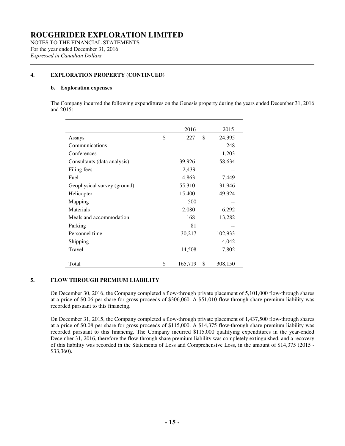NOTES TO THE FINANCIAL STATEMENTS For the year ended December 31, 2016 *Expressed in Canadian Dollars* 

 $\overline{a}$ 

#### **4. EXPLORATION PROPERTY (CONTINUED)**

#### **b. Exploration expenses**

The Company incurred the following expenditures on the Genesis property during the years ended December 31, 2016 and 2015:

|                             | 2016          | 2015          |
|-----------------------------|---------------|---------------|
| Assays                      | \$<br>227     | \$<br>24,395  |
| Communications              |               | 248           |
| Conferences                 |               | 1,203         |
| Consultants (data analysis) | 39,926        | 58,634        |
| Filing fees                 | 2,439         |               |
| Fuel                        | 4,863         | 7,449         |
| Geophysical survey (ground) | 55,310        | 31,946        |
| Helicopter                  | 15,400        | 49,924        |
| Mapping                     | 500           |               |
| Materials                   | 2,080         | 6,292         |
| Meals and accommodation     | 168           | 13,282        |
| Parking                     | 81            |               |
| Personnel time              | 30,217        | 102,933       |
| Shipping                    |               | 4,042         |
| Travel                      | 14,508        | 7,802         |
|                             |               |               |
| Total                       | \$<br>165,719 | \$<br>308,150 |

#### **5. FLOW THROUGH PREMIUM LIABILITY**

On December 30, 2016, the Company completed a flow-through private placement of 5,101,000 flow-through shares at a price of \$0.06 per share for gross proceeds of \$306,060. A \$51,010 flow-through share premium liability was recorded pursuant to this financing.

On December 31, 2015, the Company completed a flow-through private placement of 1,437,500 flow-through shares at a price of \$0.08 per share for gross proceeds of \$115,000. A \$14,375 flow-through share premium liability was recorded pursuant to this financing. The Company incurred \$115,000 qualifying expenditures in the year-ended December 31, 2016, therefore the flow-through share premium liability was completely extinguished, and a recovery of this liability was recorded in the Statements of Loss and Comprehensive Loss, in the amount of \$14,375 (2015 - \$33,360).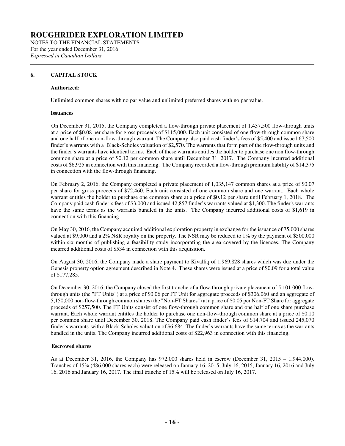NOTES TO THE FINANCIAL STATEMENTS For the year ended December 31, 2016 *Expressed in Canadian Dollars* 

#### **6. CAPITAL STOCK**

 $\overline{a}$ 

#### **Authorized:**

Unlimited common shares with no par value and unlimited preferred shares with no par value.

#### **Issuances**

 On December 31, 2015, the Company completed a flow-through private placement of 1,437,500 flow-through units at a price of \$0.08 per share for gross proceeds of \$115,000. Each unit consisted of one flow-through common share and one half of one non-flow-through warrant. The Company also paid cash finder's fees of \$5,400 and issued 67,500 finder's warrants with a Black-Scholes valuation of \$2,570. The warrants that form part of the flow-through units and the finder's warrants have identical terms. Each of these warrants entitles the holder to purchase one non flow-through common share at a price of \$0.12 per common share until December 31, 2017. The Company incurred additional costs of \$6,925 in connection with this financing. The Company recorded a flow-through premium liability of \$14,375 in connection with the flow-through financing.

 On February 2, 2016, the Company completed a private placement of 1,035,147 common shares at a price of \$0.07 per share for gross proceeds of \$72,460. Each unit consisted of one common share and one warrant. Each whole warrant entitles the holder to purchase one common share at a price of \$0.12 per share until February 1, 2018. The Company paid cash finder's fees of \$3,000 and issued 42,857 finder's warrants valued at \$1,300. The finder's warrants have the same terms as the warrants bundled in the units. The Company incurred additional costs of \$1,619 in connection with this financing.

 On May 30, 2016, the Company acquired additional exploration property in exchange for the issuance of 75,000 shares valued at \$9,000 and a 2% NSR royalty on the property. The NSR may be reduced to 1% by the payment of \$500,000 within six months of publishing a feasibility study incorporating the area covered by the licences. The Company incurred additional costs of \$534 in connection with this acquisition.

 On August 30, 2016, the Company made a share payment to Kivalliq of 1,969,828 shares which was due under the Genesis property option agreement described in Note 4. These shares were issued at a price of \$0.09 for a total value of \$177,285.

 On December 30, 2016, the Company closed the first tranche of a flow-through private placement of 5,101,000 flowthrough units (the "FT Units") at a price of \$0.06 per FT Unit for aggregate proceeds of \$306,060 and an aggregate of 5,150,000 non-flow-through common shares (the "Non-FT Shares") at a price of \$0.05 per Non-FT Share for aggregate proceeds of \$257,500. The FT Units consist of one flow-through common share and one half of one share purchase warrant. Each whole warrant entitles the holder to purchase one non-flow-through common share at a price of \$0.10 per common share until December 30, 2018. The Company paid cash finder's fees of \$14,704 and issued 245,070 finder's warrants with a Black-Scholes valuation of \$6,684. The finder's warrants have the same terms as the warrants bundled in the units. The Company incurred additional costs of \$22,963 in connection with this financing.

#### **Escrowed shares**

As at December 31, 2016, the Company has 972,000 shares held in escrow (December 31, 2015 – 1,944,000). Tranches of 15% (486,000 shares each) were released on January 16, 2015, July 16, 2015, January 16, 2016 and July 16, 2016 and January 16, 2017. The final tranche of 15% will be released on July 16, 2017.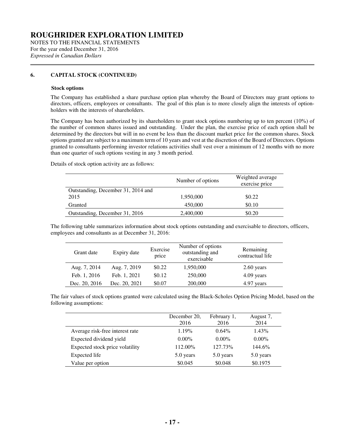NOTES TO THE FINANCIAL STATEMENTS For the year ended December 31, 2016 *Expressed in Canadian Dollars* 

#### **6. CAPITAL STOCK (CONTINUED)**

#### **Stock options**

 $\overline{a}$ 

The Company has established a share purchase option plan whereby the Board of Directors may grant options to directors, officers, employees or consultants. The goal of this plan is to more closely align the interests of optionholders with the interests of shareholders.

The Company has been authorized by its shareholders to grant stock options numbering up to ten percent (10%) of the number of common shares issued and outstanding. Under the plan, the exercise price of each option shall be determined by the directors but will in no event be less than the discount market price for the common shares. Stock options granted are subject to a maximum term of 10 years and vest at the discretion of the Board of Directors. Options granted to consultants performing investor relations activities shall vest over a minimum of 12 months with no more than one quarter of such options vesting in any 3 month period.

Details of stock option activity are as follows:

|                                    | Number of options | Weighted average<br>exercise price |
|------------------------------------|-------------------|------------------------------------|
| Outstanding, December 31, 2014 and |                   |                                    |
| 2015                               | 1,950,000         | \$0.22                             |
| Granted                            | 450,000           | \$0.10                             |
| Outstanding, December 31, 2016     | 2,400,000         | \$0.20                             |

The following table summarizes information about stock options outstanding and exercisable to directors, officers, employees and consultants as at December 31, 2016:

| Grant date    | Expiry date   | Exercise<br>price | Number of options<br>outstanding and<br>exercisable | Remaining<br>contractual life |
|---------------|---------------|-------------------|-----------------------------------------------------|-------------------------------|
| Aug. 7, 2014  | Aug. 7, 2019  | \$0.22            | 1,950,000                                           | $2.60$ years                  |
| Feb. 1, 2016  | Feb. 1, 2021  | \$0.12            | 250,000                                             | 4.09 years                    |
| Dec. 20, 2016 | Dec. 20, 2021 | \$0.07            | 200,000                                             | 4.97 years                    |

The fair values of stock options granted were calculated using the Black-Scholes Option Pricing Model, based on the following assumptions:

|                                 | December 20,<br>2016 | February 1,<br>2016 | August 7,<br>2014 |
|---------------------------------|----------------------|---------------------|-------------------|
| Average risk-free interest rate | 1.19%                | $0.64\%$            | $1.43\%$          |
| Expected dividend yield         | $0.00\%$             | $0.00\%$            | $0.00\%$          |
| Expected stock price volatility | 112.00%              | 127.73%             | 144.6%            |
| Expected life                   | 5.0 years            | 5.0 years           | 5.0 years         |
| Value per option                | \$0.045              | \$0.048             | \$0.1975          |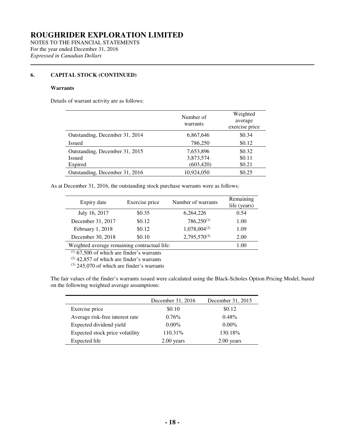NOTES TO THE FINANCIAL STATEMENTS For the year ended December 31, 2016 *Expressed in Canadian Dollars* 

#### **6. CAPITAL STOCK (CONTINUED)**

#### **Warrants**

 $\overline{a}$ 

Details of warrant activity are as follows:

|                                | Number of<br>warrants | Weighted<br>average<br>exercise price |
|--------------------------------|-----------------------|---------------------------------------|
| Outstanding, December 31, 2014 | 6,867,646             | \$0.34                                |
| Issued                         | 786,250               | \$0.12                                |
| Outstanding, December 31, 2015 | 7,653,896             | \$0.32                                |
| Issued                         | 3,873,574             | \$0.11                                |
| Expired                        | (603, 420)            | \$0.21                                |
| Outstanding, December 31, 2016 | 10,924,050            | \$0.25                                |

As at December 31, 2016, the outstanding stock purchase warrants were as follows:

| Expiry date                                  | Exercise price | Number of warrants | Remaining<br>life (years) |
|----------------------------------------------|----------------|--------------------|---------------------------|
| July 16, 2017                                | \$0.35         | 6,264,226          | 0.54                      |
| December 31, 2017                            | \$0.12         | $786,250^{(1)}$    | 1.00                      |
| February 1, 2018                             | \$0.12         | $1,078,004^{(2)}$  | 1.09                      |
| December 30, 2018                            | \$0.10         | $2,795,570^{(3)}$  | 2.00                      |
| Weighted average remaining contractual life: |                |                    | 1.00                      |

 $\frac{1}{(1)}$  67,500 of which are finder's warrants

 $(2)$  42,857 of which are finder's warrants

 $(3)$  245,070 of which are finder's warrants

The fair values of the finder's warrants issued were calculated using the Black-Scholes Option Pricing Model, based on the following weighted average assumptions:

|                                 | December 31, 2016 | December 31, 2015 |
|---------------------------------|-------------------|-------------------|
| Exercise price                  | \$0.10            | \$0.12            |
| Average risk-free interest rate | 0.76%             | $0.48\%$          |
| Expected dividend yield         | $0.00\%$          | $0.00\%$          |
| Expected stock price volatility | 110.31%           | 130.18%           |
| Expected life                   | $2.00$ years      | $2.00$ years      |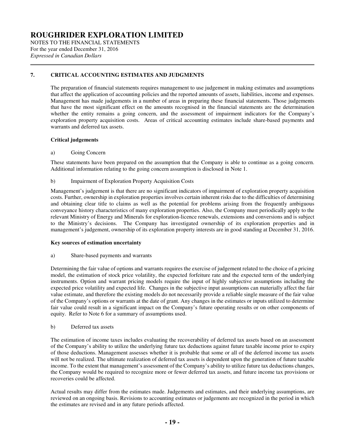NOTES TO THE FINANCIAL STATEMENTS For the year ended December 31, 2016 *Expressed in Canadian Dollars* 

 $\overline{a}$ 

#### **7. CRITICAL ACCOUNTING ESTIMATES AND JUDGMENTS**

The preparation of financial statements requires management to use judgement in making estimates and assumptions that affect the application of accounting policies and the reported amounts of assets, liabilities, income and expenses. Management has made judgements in a number of areas in preparing these financial statements. Those judgements that have the most significant effect on the amounts recognised in the financial statements are the determination whether the entity remains a going concern, and the assessment of impairment indicators for the Company's exploration property acquisition costs. Areas of critical accounting estimates include share-based payments and warrants and deferred tax assets.

#### **Critical judgements**

#### a) Going Concern

These statements have been prepared on the assumption that the Company is able to continue as a going concern. Additional information relating to the going concern assumption is disclosed in Note 1.

b) Impairment of Exploration Property Acquisition Costs

Management's judgement is that there are no significant indicators of impairment of exploration property acquisition costs. Further, ownership in exploration properties involves certain inherent risks due to the difficulties of determining and obtaining clear title to claims as well as the potential for problems arising from the frequently ambiguous conveyance history characteristics of many exploration properties. Also, the Company must periodically apply to the relevant Ministry of Energy and Minerals for exploration-licence renewals, extensions and conversions and is subject to the Ministry's decisions. The Company has investigated ownership of its exploration properties and in management's judgement, ownership of its exploration property interests are in good standing at December 31, 2016.

#### **Key sources of estimation uncertainty**

#### a) Share-based payments and warrants

Determining the fair value of options and warrants requires the exercise of judgement related to the choice of a pricing model, the estimation of stock price volatility, the expected forfeiture rate and the expected term of the underlying instruments. Option and warrant pricing models require the input of highly subjective assumptions including the expected price volatility and expected life. Changes in the subjective input assumptions can materially affect the fair value estimate, and therefore the existing models do not necessarily provide a reliable single measure of the fair value of the Company's options or warrants at the date of grant. Any changes in the estimates or inputs utilized to determine fair value could result in a significant impact on the Company's future operating results or on other components of equity. Refer to Note 6 for a summary of assumptions used.

b) Deferred tax assets

The estimation of income taxes includes evaluating the recoverability of deferred tax assets based on an assessment of the Company's ability to utilize the underlying future tax deductions against future taxable income prior to expiry of those deductions. Management assesses whether it is probable that some or all of the deferred income tax assets will not be realized. The ultimate realization of deferred tax assets is dependent upon the generation of future taxable income. To the extent that management's assessment of the Company's ability to utilize future tax deductions changes, the Company would be required to recognize more or fewer deferred tax assets, and future income tax provisions or recoveries could be affected.

Actual results may differ from the estimates made. Judgements and estimates, and their underlying assumptions, are reviewed on an ongoing basis. Revisions to accounting estimates or judgements are recognized in the period in which the estimates are revised and in any future periods affected.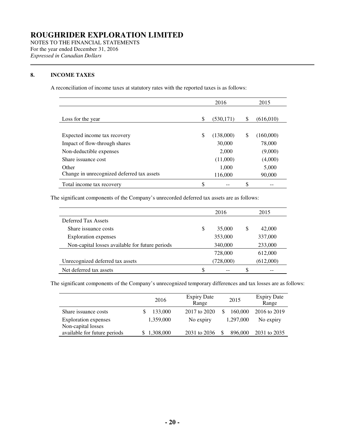NOTES TO THE FINANCIAL STATEMENTS For the year ended December 31, 2016 *Expressed in Canadian Dollars* 

#### **8. INCOME TAXES**

 $\overline{a}$ 

A reconciliation of income taxes at statutory rates with the reported taxes is as follows:

|                                            | 2016 |            | 2015 |           |
|--------------------------------------------|------|------------|------|-----------|
|                                            |      |            |      |           |
| Loss for the year                          | \$   | (530, 171) | \$   | (616,010) |
|                                            |      |            |      |           |
| Expected income tax recovery               | \$   | (138,000)  | S    | (160,000) |
| Impact of flow-through shares              |      | 30,000     |      | 78,000    |
| Non-deductible expenses                    |      | 2,000      |      | (9,000)   |
| Share issuance cost                        |      | (11,000)   |      | (4,000)   |
| Other                                      |      | 1,000      |      | 5,000     |
| Change in unrecognized deferred tax assets |      | 116,000    |      | 90,000    |
| Total income tax recovery                  | \$   |            | \$   |           |

The significant components of the Company's unrecorded deferred tax assets are as follows:

|                                                 |   | 2016      |   | 2015      |
|-------------------------------------------------|---|-----------|---|-----------|
| Deferred Tax Assets                             |   |           |   |           |
| Share issuance costs                            | S | 35,000    | S | 42,000    |
| Exploration expenses                            |   | 353,000   |   | 337,000   |
| Non-capital losses available for future periods |   | 340,000   |   | 233,000   |
|                                                 |   | 728,000   |   | 612,000   |
| Unrecognized deferred tax assets                |   | (728,000) |   | (612,000) |
| Net deferred tax assets                         |   |           |   |           |

The significant components of the Company's unrecognized temporary differences and tax losses are as follows:

|                              | 2016      | <b>Expiry Date</b><br>Range | 2015      | <b>Expiry Date</b><br>Range |
|------------------------------|-----------|-----------------------------|-----------|-----------------------------|
| Share issuance costs         | 133,000   | 2017 to 2020                | 160,000   | 2016 to 2019                |
| <b>Exploration expenses</b>  | 1,359,000 | No expiry                   | 1,297,000 | No expiry                   |
| Non-capital losses           |           |                             |           |                             |
| available for future periods | 1,308,000 | 2031 to 2036                | 896,000   | 2031 to 2035                |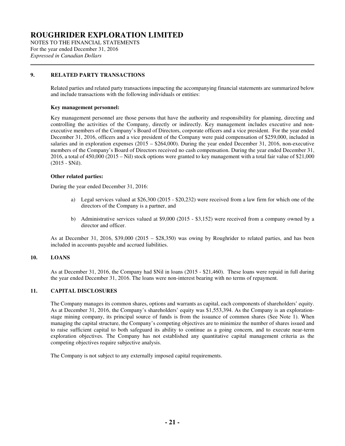NOTES TO THE FINANCIAL STATEMENTS For the year ended December 31, 2016 *Expressed in Canadian Dollars* 

 $\overline{a}$ 

#### **9. RELATED PARTY TRANSACTIONS**

Related parties and related party transactions impacting the accompanying financial statements are summarized below and include transactions with the following individuals or entities:

#### **Key management personnel:**

Key management personnel are those persons that have the authority and responsibility for planning, directing and controlling the activities of the Company, directly or indirectly. Key management includes executive and nonexecutive members of the Company's Board of Directors, corporate officers and a vice president. For the year ended December 31, 2016, officers and a vice president of the Company were paid compensation of \$259,000, included in salaries and in exploration expenses (2015 – \$264,000). During the year ended December 31, 2016, non-executive members of the Company's Board of Directors received no cash compensation. During the year ended December 31, 2016, a total of 450,000 (2015 – Nil) stock options were granted to key management with a total fair value of \$21,000 (2015 - \$Nil).

#### **Other related parties:**

During the year ended December 31, 2016:

- a) Legal services valued at \$26,300 (2015 \$20,232) were received from a law firm for which one of the directors of the Company is a partner, and
- b) Administrative services valued at \$9,000 (2015 \$3,152) were received from a company owned by a director and officer.

As at December 31, 2016, \$39,000 (2015 – \$28,350) was owing by Roughrider to related parties, and has been included in accounts payable and accrued liabilities.

#### **10. LOANS**

As at December 31, 2016, the Company had \$Nil in loans (2015 - \$21,460). These loans were repaid in full during the year ended December 31, 2016. The loans were non-interest bearing with no terms of repayment.

#### **11. CAPITAL DISCLOSURES**

The Company manages its common shares, options and warrants as capital, each components of shareholders' equity. As at December 31, 2016, the Company's shareholders' equity was \$1,553,394. As the Company is an explorationstage mining company, its principal source of funds is from the issuance of common shares (See Note 1). When managing the capital structure, the Company's competing objectives are to minimize the number of shares issued and to raise sufficient capital to both safeguard its ability to continue as a going concern, and to execute near-term exploration objectives. The Company has not established any quantitative capital management criteria as the competing objectives require subjective analysis.

The Company is not subject to any externally imposed capital requirements.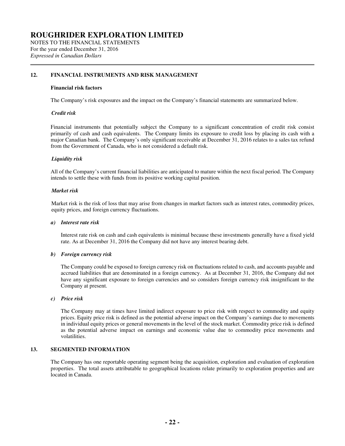NOTES TO THE FINANCIAL STATEMENTS For the year ended December 31, 2016 *Expressed in Canadian Dollars* 

#### **12. FINANCIAL INSTRUMENTS AND RISK MANAGEMENT**

#### **Financial risk factors**

The Company's risk exposures and the impact on the Company's financial statements are summarized below.

#### *Credit risk*

 $\overline{a}$ 

Financial instruments that potentially subject the Company to a significant concentration of credit risk consist primarily of cash and cash equivalents. The Company limits its exposure to credit loss by placing its cash with a major Canadian bank. The Company's only significant receivable at December 31, 2016 relates to a sales tax refund from the Government of Canada, who is not considered a default risk.

#### *Liquidity risk*

All of the Company's current financial liabilities are anticipated to mature within the next fiscal period. The Company intends to settle these with funds from its positive working capital position.

#### *Market risk*

 Market risk is the risk of loss that may arise from changes in market factors such as interest rates, commodity prices, equity prices, and foreign currency fluctuations.

#### *a) Interest rate risk*

Interest rate risk on cash and cash equivalents is minimal because these investments generally have a fixed yield rate. As at December 31, 2016 the Company did not have any interest bearing debt.

#### *b) Foreign currency risk*

The Company could be exposed to foreign currency risk on fluctuations related to cash, and accounts payable and accrued liabilities that are denominated in a foreign currency. As at December 31, 2016, the Company did not have any significant exposure to foreign currencies and so considers foreign currency risk insignificant to the Company at present.

#### *c) Price risk*

The Company may at times have limited indirect exposure to price risk with respect to commodity and equity prices. Equity price risk is defined as the potential adverse impact on the Company's earnings due to movements in individual equity prices or general movements in the level of the stock market. Commodity price risk is defined as the potential adverse impact on earnings and economic value due to commodity price movements and volatilities.

#### **13. SEGMENTED INFORMATION**

The Company has one reportable operating segment being the acquisition, exploration and evaluation of exploration properties. The total assets attributable to geographical locations relate primarily to exploration properties and are located in Canada.